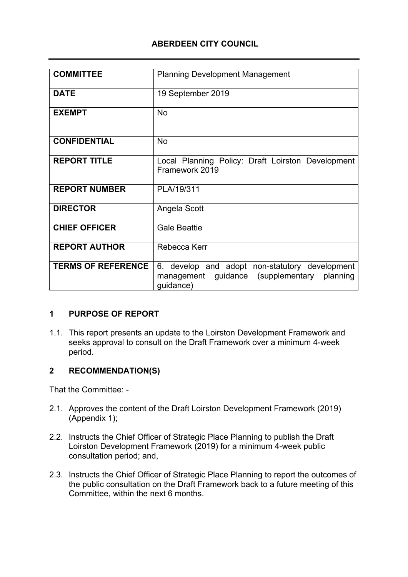# **ABERDEEN CITY COUNCIL**

| <b>COMMITTEE</b>          | <b>Planning Development Management</b>                                                                     |
|---------------------------|------------------------------------------------------------------------------------------------------------|
| <b>DATE</b>               | 19 September 2019                                                                                          |
| <b>EXEMPT</b>             | <b>No</b>                                                                                                  |
| <b>CONFIDENTIAL</b>       | <b>No</b>                                                                                                  |
| <b>REPORT TITLE</b>       | Local Planning Policy: Draft Loirston Development<br>Framework 2019                                        |
| <b>REPORT NUMBER</b>      | PLA/19/311                                                                                                 |
| <b>DIRECTOR</b>           | Angela Scott                                                                                               |
| <b>CHIEF OFFICER</b>      | <b>Gale Beattie</b>                                                                                        |
| <b>REPORT AUTHOR</b>      | Rebecca Kerr                                                                                               |
| <b>TERMS OF REFERENCE</b> | 6. develop and adopt non-statutory development<br>management guidance (supplementary planning<br>guidance) |

## **1 PURPOSE OF REPORT**

1.1. This report presents an update to the Loirston Development Framework and seeks approval to consult on the Draft Framework over a minimum 4-week period.

## **2 RECOMMENDATION(S)**

That the Committee: -

- 2.1. Approves the content of the Draft Loirston Development Framework (2019) (Appendix 1);
- 2.2. Instructs the Chief Officer of Strategic Place Planning to publish the Draft Loirston Development Framework (2019) for a minimum 4-week public consultation period; and,
- 2.3. Instructs the Chief Officer of Strategic Place Planning to report the outcomes of the public consultation on the Draft Framework back to a future meeting of this Committee, within the next 6 months.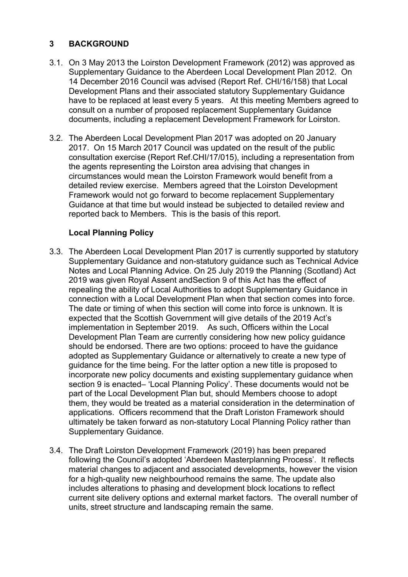# **3 BACKGROUND**

- 3.1. On 3 May 2013 the Loirston Development Framework (2012) was approved as Supplementary Guidance to the Aberdeen Local Development Plan 2012. On 14 December 2016 Council was advised (Report Ref. CHI/16/158) that Local Development Plans and their associated statutory Supplementary Guidance have to be replaced at least every 5 years. At this meeting Members agreed to consult on a number of proposed replacement Supplementary Guidance documents, including a replacement Development Framework for Loirston.
- 3.2. The Aberdeen Local Development Plan 2017 was adopted on 20 January 2017. On 15 March 2017 Council was updated on the result of the public consultation exercise (Report Ref.CHI/17/015), including a representation from the agents representing the Loirston area advising that changes in circumstances would mean the Loirston Framework would benefit from a detailed review exercise. Members agreed that the Loirston Development Framework would not go forward to become replacement Supplementary Guidance at that time but would instead be subjected to detailed review and reported back to Members. This is the basis of this report.

# **Local Planning Policy**

- 3.3. The Aberdeen Local Development Plan 2017 is currently supported by statutory Supplementary Guidance and non-statutory guidance such as Technical Advice Notes and Local Planning Advice. On 25 July 2019 the Planning (Scotland) Act 2019 was given Royal Assent andSection 9 of this Act has the effect of repealing the ability of Local Authorities to adopt Supplementary Guidance in connection with a Local Development Plan when that section comes into force. The date or timing of when this section will come into force is unknown. It is expected that the Scottish Government will give details of the 2019 Act's implementation in September 2019. As such, Officers within the Local Development Plan Team are currently considering how new policy guidance should be endorsed. There are two options: proceed to have the guidance adopted as Supplementary Guidance or alternatively to create a new type of guidance for the time being. For the latter option a new title is proposed to incorporate new policy documents and existing supplementary guidance when section 9 is enacted– 'Local Planning Policy'. These documents would not be part of the Local Development Plan but, should Members choose to adopt them, they would be treated as a material consideration in the determination of applications. Officers recommend that the Draft Loriston Framework should ultimately be taken forward as non-statutory Local Planning Policy rather than Supplementary Guidance.
- 3.4. The Draft Loirston Development Framework (2019) has been prepared following the Council's adopted 'Aberdeen Masterplanning Process'. It reflects material changes to adjacent and associated developments, however the vision for a high-quality new neighbourhood remains the same. The update also includes alterations to phasing and development block locations to reflect current site delivery options and external market factors. The overall number of units, street structure and landscaping remain the same.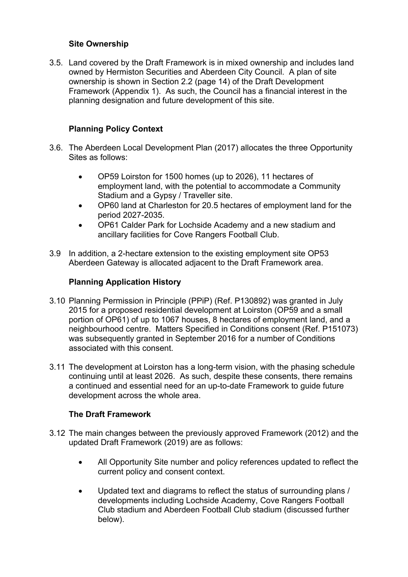## **Site Ownership**

3.5. Land covered by the Draft Framework is in mixed ownership and includes land owned by Hermiston Securities and Aberdeen City Council. A plan of site ownership is shown in Section 2.2 (page 14) of the Draft Development Framework (Appendix 1). As such, the Council has a financial interest in the planning designation and future development of this site.

## **Planning Policy Context**

- 3.6. The Aberdeen Local Development Plan (2017) allocates the three Opportunity Sites as follows:
	- OP59 Loirston for 1500 homes (up to 2026), 11 hectares of employment land, with the potential to accommodate a Community Stadium and a Gypsy / Traveller site.
	- OP60 land at Charleston for 20.5 hectares of employment land for the period 2027-2035.
	- OP61 Calder Park for Lochside Academy and a new stadium and ancillary facilities for Cove Rangers Football Club.
- 3.9 In addition, a 2-hectare extension to the existing employment site OP53 Aberdeen Gateway is allocated adjacent to the Draft Framework area.

## **Planning Application History**

- 3.10 Planning Permission in Principle (PPiP) (Ref. P130892) was granted in July 2015 for a proposed residential development at Loirston (OP59 and a small portion of OP61) of up to 1067 houses, 8 hectares of employment land, and a neighbourhood centre. Matters Specified in Conditions consent (Ref. P151073) was subsequently granted in September 2016 for a number of Conditions associated with this consent.
- 3.11 The development at Loirston has a long-term vision, with the phasing schedule continuing until at least 2026. As such, despite these consents, there remains a continued and essential need for an up-to-date Framework to guide future development across the whole area.

## **The Draft Framework**

- 3.12 The main changes between the previously approved Framework (2012) and the updated Draft Framework (2019) are as follows:
	- All Opportunity Site number and policy references updated to reflect the current policy and consent context.
	- Updated text and diagrams to reflect the status of surrounding plans / developments including Lochside Academy, Cove Rangers Football Club stadium and Aberdeen Football Club stadium (discussed further below).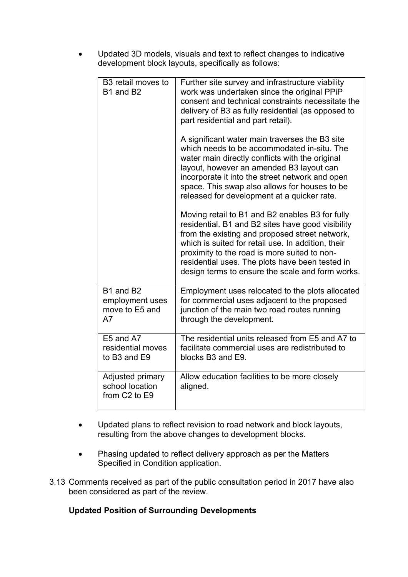Updated 3D models, visuals and text to reflect changes to indicative development block layouts, specifically as follows:

| B3 retail moves to<br>B1 and B2                                              | Further site survey and infrastructure viability<br>work was undertaken since the original PPiP<br>consent and technical constraints necessitate the<br>delivery of B3 as fully residential (as opposed to<br>part residential and part retail).<br>A significant water main traverses the B3 site<br>which needs to be accommodated in-situ. The<br>water main directly conflicts with the original<br>layout, however an amended B3 layout can<br>incorporate it into the street network and open<br>space. This swap also allows for houses to be<br>released for development at a quicker rate.<br>Moving retail to B1 and B2 enables B3 for fully<br>residential. B1 and B2 sites have good visibility<br>from the existing and proposed street network,<br>which is suited for retail use. In addition, their<br>proximity to the road is more suited to non-<br>residential uses. The plots have been tested in |
|------------------------------------------------------------------------------|------------------------------------------------------------------------------------------------------------------------------------------------------------------------------------------------------------------------------------------------------------------------------------------------------------------------------------------------------------------------------------------------------------------------------------------------------------------------------------------------------------------------------------------------------------------------------------------------------------------------------------------------------------------------------------------------------------------------------------------------------------------------------------------------------------------------------------------------------------------------------------------------------------------------|
|                                                                              | design terms to ensure the scale and form works.                                                                                                                                                                                                                                                                                                                                                                                                                                                                                                                                                                                                                                                                                                                                                                                                                                                                       |
| B1 and B2<br>employment uses<br>move to E5 and<br>A7                         | Employment uses relocated to the plots allocated<br>for commercial uses adjacent to the proposed<br>junction of the main two road routes running<br>through the development.                                                                                                                                                                                                                                                                                                                                                                                                                                                                                                                                                                                                                                                                                                                                           |
| E5 and A7<br>residential moves<br>to B3 and E9                               | The residential units released from E5 and A7 to<br>facilitate commercial uses are redistributed to<br>blocks B3 and E9.                                                                                                                                                                                                                                                                                                                                                                                                                                                                                                                                                                                                                                                                                                                                                                                               |
| Adjusted primary<br>school location<br>from C <sub>2</sub> to E <sub>9</sub> | Allow education facilities to be more closely<br>aligned.                                                                                                                                                                                                                                                                                                                                                                                                                                                                                                                                                                                                                                                                                                                                                                                                                                                              |

- Updated plans to reflect revision to road network and block layouts, resulting from the above changes to development blocks.
- Phasing updated to reflect delivery approach as per the Matters Specified in Condition application.
- 3.13 Comments received as part of the public consultation period in 2017 have also been considered as part of the review.

## **Updated Position of Surrounding Developments**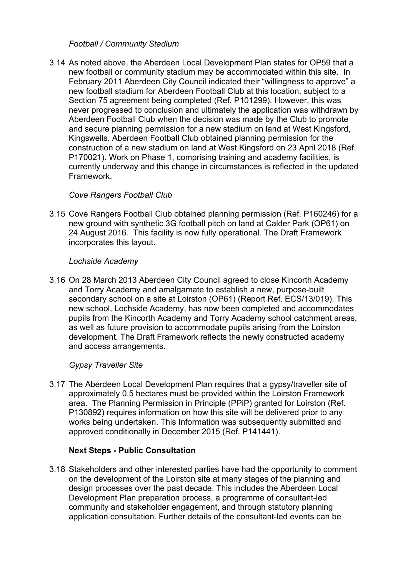#### *Football / Community Stadium*

3.14 As noted above, the Aberdeen Local Development Plan states for OP59 that a new football or community stadium may be accommodated within this site. In February 2011 Aberdeen City Council indicated their "willingness to approve" a new football stadium for Aberdeen Football Club at this location, subject to a Section 75 agreement being completed (Ref. P101299). However, this was never progressed to conclusion and ultimately the application was withdrawn by Aberdeen Football Club when the decision was made by the Club to promote and secure planning permission for a new stadium on land at West Kingsford, Kingswells. Aberdeen Football Club obtained planning permission for the construction of a new stadium on land at West Kingsford on 23 April 2018 (Ref. P170021). Work on Phase 1, comprising training and academy facilities, is currently underway and this change in circumstances is reflected in the updated Framework.

## *Cove Rangers Football Club*

3.15 Cove Rangers Football Club obtained planning permission (Ref. P160246) for a new ground with synthetic 3G football pitch on land at Calder Park (OP61) on 24 August 2016. This facility is now fully operational. The Draft Framework incorporates this layout.

## *Lochside Academy*

3.16 On 28 March 2013 Aberdeen City Council agreed to close Kincorth Academy and Torry Academy and amalgamate to establish a new, purpose-built secondary school on a site at Loirston (OP61) (Report Ref. ECS/13/019). This new school, Lochside Academy, has now been completed and accommodates pupils from the Kincorth Academy and Torry Academy school catchment areas, as well as future provision to accommodate pupils arising from the Loirston development. The Draft Framework reflects the newly constructed academy and access arrangements.

## *Gypsy Traveller Site*

3.17 The Aberdeen Local Development Plan requires that a gypsy/traveller site of approximately 0.5 hectares must be provided within the Loirston Framework area. The Planning Permission in Principle (PPiP) granted for Loirston (Ref. P130892) requires information on how this site will be delivered prior to any works being undertaken. This Information was subsequently submitted and approved conditionally in December 2015 (Ref. P141441).

## **Next Steps - Public Consultation**

3.18 Stakeholders and other interested parties have had the opportunity to comment on the development of the Loirston site at many stages of the planning and design processes over the past decade. This includes the Aberdeen Local Development Plan preparation process, a programme of consultant-led community and stakeholder engagement, and through statutory planning application consultation. Further details of the consultant-led events can be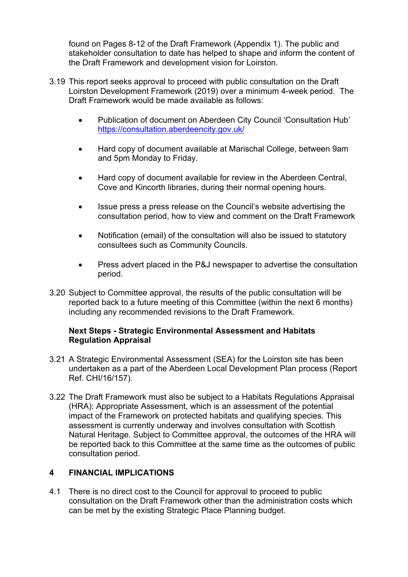found on Pages 8-12 of the Draft Framework (Appendix 1). The public and stakeholder consultation to date has helped to shape and inform the content of the Draft Framework and development vision for Loirston.

- 3.19 This report seeks approval to proceed with public consultation on the Draft Loirston Development Framework (2019) over a minimum 4-week period. The Draft Framework would be made available as follows:
	- Publication of document on Aberdeen City Council 'Consultation Hub' <https://consultation.aberdeencity.gov.uk/>
	- Hard copy of document available at Marischal College, between 9am and 5pm Monday to Friday.
	- Hard copy of document available for review in the Aberdeen Central, Cove and Kincorth libraries, during their normal opening hours.
	- Issue press a press release on the Council's website advertising the consultation period, how to view and comment on the Draft Framework
	- Notification (email) of the consultation will also be issued to statutory consultees such as Community Councils.
	- Press advert placed in the P&J newspaper to advertise the consultation period.
- 3.20 Subject to Committee approval, the results of the public consultation will be reported back to a future meeting of this Committee (within the next 6 months) including any recommended revisions to the Draft Framework.

#### **Next Steps - Strategic Environmental Assessment and Habitats Regulation Appraisal**

- 3.21 A Strategic Environmental Assessment (SEA) for the Loirston site has been undertaken as a part of the Aberdeen Local Development Plan process (Report Ref. CHI/16/157).
- 3.22 The Draft Framework must also be subject to a Habitats Regulations Appraisal (HRA): Appropriate Assessment, which is an assessment of the potential impact of the Framework on protected habitats and qualifying species. This assessment is currently underway and involves consultation with Scottish Natural Heritage. Subject to Committee approval, the outcomes of the HRA will be reported back to this Committee at the same time as the outcomes of public consultation period.

## **4 FINANCIAL IMPLICATIONS**

4.1 There is no direct cost to the Council for approval to proceed to public consultation on the Draft Framework other than the administration costs which can be met by the existing Strategic Place Planning budget.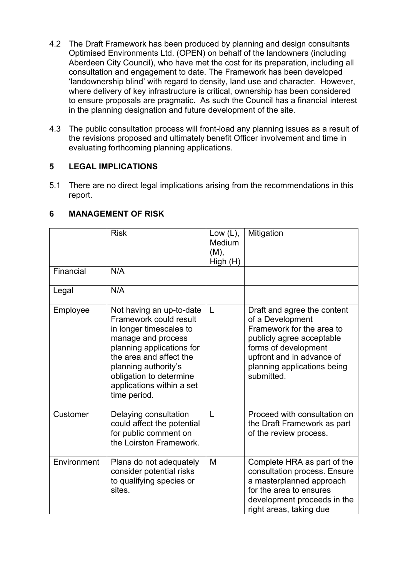- 4.2 The Draft Framework has been produced by planning and design consultants Optimised Environments Ltd. (OPEN) on behalf of the landowners (including Aberdeen City Council), who have met the cost for its preparation, including all consultation and engagement to date. The Framework has been developed 'landownership blind' with regard to density, land use and character. However, where delivery of key infrastructure is critical, ownership has been considered to ensure proposals are pragmatic. As such the Council has a financial interest in the planning designation and future development of the site.
- 4.3 The public consultation process will front-load any planning issues as a result of the revisions proposed and ultimately benefit Officer involvement and time in evaluating forthcoming planning applications.

# **5 LEGAL IMPLICATIONS**

5.1 There are no direct legal implications arising from the recommendations in this report.

|             | <b>Risk</b>                                                                                                                                                                                                                                                 | Low $(L)$ ,<br>Medium<br>(M),<br>High (H) | Mitigation                                                                                                                                                                                                  |
|-------------|-------------------------------------------------------------------------------------------------------------------------------------------------------------------------------------------------------------------------------------------------------------|-------------------------------------------|-------------------------------------------------------------------------------------------------------------------------------------------------------------------------------------------------------------|
| Financial   | N/A                                                                                                                                                                                                                                                         |                                           |                                                                                                                                                                                                             |
| Legal       | N/A                                                                                                                                                                                                                                                         |                                           |                                                                                                                                                                                                             |
| Employee    | Not having an up-to-date<br>Framework could result<br>in longer timescales to<br>manage and process<br>planning applications for<br>the area and affect the<br>planning authority's<br>obligation to determine<br>applications within a set<br>time period. | L                                         | Draft and agree the content<br>of a Development<br>Framework for the area to<br>publicly agree acceptable<br>forms of development<br>upfront and in advance of<br>planning applications being<br>submitted. |
| Customer    | Delaying consultation<br>could affect the potential<br>for public comment on<br>the Loirston Framework.                                                                                                                                                     | L                                         | Proceed with consultation on<br>the Draft Framework as part<br>of the review process.                                                                                                                       |
| Environment | Plans do not adequately<br>consider potential risks<br>to qualifying species or<br>sites.                                                                                                                                                                   | M                                         | Complete HRA as part of the<br>consultation process. Ensure<br>a masterplanned approach<br>for the area to ensures<br>development proceeds in the<br>right areas, taking due                                |

## **6 MANAGEMENT OF RISK**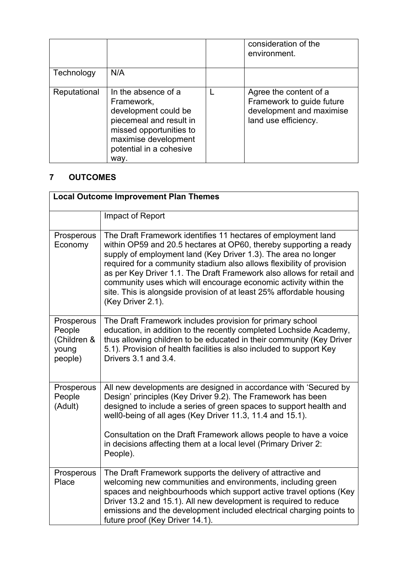|              |                                                                                                                                                                            | consideration of the<br>environment.                                                                    |
|--------------|----------------------------------------------------------------------------------------------------------------------------------------------------------------------------|---------------------------------------------------------------------------------------------------------|
| Technology   | N/A                                                                                                                                                                        |                                                                                                         |
| Reputational | In the absence of a<br>Framework,<br>development could be<br>piecemeal and result in<br>missed opportunities to<br>maximise development<br>potential in a cohesive<br>wav. | Agree the content of a<br>Framework to guide future<br>development and maximise<br>land use efficiency. |

# **7 OUTCOMES**

| <b>Local Outcome Improvement Plan Themes</b>            |                                                                                                                                                                                                                                                                                                                                                                                                                                                                                                                         |  |
|---------------------------------------------------------|-------------------------------------------------------------------------------------------------------------------------------------------------------------------------------------------------------------------------------------------------------------------------------------------------------------------------------------------------------------------------------------------------------------------------------------------------------------------------------------------------------------------------|--|
|                                                         | Impact of Report                                                                                                                                                                                                                                                                                                                                                                                                                                                                                                        |  |
| Prosperous<br>Economy                                   | The Draft Framework identifies 11 hectares of employment land<br>within OP59 and 20.5 hectares at OP60, thereby supporting a ready<br>supply of employment land (Key Driver 1.3). The area no longer<br>required for a community stadium also allows flexibility of provision<br>as per Key Driver 1.1. The Draft Framework also allows for retail and<br>community uses which will encourage economic activity within the<br>site. This is alongside provision of at least 25% affordable housing<br>(Key Driver 2.1). |  |
| Prosperous<br>People<br>(Children &<br>young<br>people) | The Draft Framework includes provision for primary school<br>education, in addition to the recently completed Lochside Academy,<br>thus allowing children to be educated in their community (Key Driver<br>5.1). Provision of health facilities is also included to support Key<br>Drivers 3.1 and 3.4.                                                                                                                                                                                                                 |  |
| Prosperous<br>People<br>(Adult)                         | All new developments are designed in accordance with 'Secured by<br>Design' principles (Key Driver 9.2). The Framework has been<br>designed to include a series of green spaces to support health and<br>well0-being of all ages (Key Driver 11.3, 11.4 and 15.1).<br>Consultation on the Draft Framework allows people to have a voice<br>in decisions affecting them at a local level (Primary Driver 2:<br>People).                                                                                                  |  |
| Prosperous<br>Place                                     | The Draft Framework supports the delivery of attractive and<br>welcoming new communities and environments, including green<br>spaces and neighbourhoods which support active travel options (Key<br>Driver 13.2 and 15.1). All new development is required to reduce<br>emissions and the development included electrical charging points to<br>future proof (Key Driver 14.1).                                                                                                                                         |  |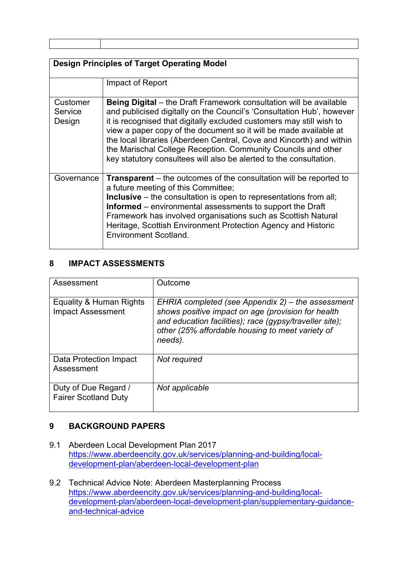| ,一个人都是一个人的人,就是一个人的人,就是一个人的人,就是一个人的人,就是一个人的人,就是一个人的人,就是一个人的人,就是一个人的人,就是一个人的人,就是一个 |  |
|----------------------------------------------------------------------------------|--|
|                                                                                  |  |
|                                                                                  |  |
|                                                                                  |  |
|                                                                                  |  |
|                                                                                  |  |

| <b>Design Principles of Target Operating Model</b> |                                                                                                                                                                                                                                                                                                                                                                                                                                                                                                         |  |
|----------------------------------------------------|---------------------------------------------------------------------------------------------------------------------------------------------------------------------------------------------------------------------------------------------------------------------------------------------------------------------------------------------------------------------------------------------------------------------------------------------------------------------------------------------------------|--|
|                                                    | Impact of Report                                                                                                                                                                                                                                                                                                                                                                                                                                                                                        |  |
| Customer<br>Service<br>Design                      | Being Digital – the Draft Framework consultation will be available<br>and publicised digitally on the Council's 'Consultation Hub', however<br>it is recognised that digitally excluded customers may still wish to<br>view a paper copy of the document so it will be made available at<br>the local libraries (Aberdeen Central, Cove and Kincorth) and within<br>the Marischal College Reception. Community Councils and other<br>key statutory consultees will also be alerted to the consultation. |  |
| Governance                                         | <b>Transparent</b> – the outcomes of the consultation will be reported to<br>a future meeting of this Committee;<br><b>Inclusive</b> – the consultation is open to representations from all;<br><b>Informed</b> – environmental assessments to support the Draft<br>Framework has involved organisations such as Scottish Natural<br>Heritage, Scottish Environment Protection Agency and Historic<br>Environment Scotland.                                                                             |  |

#### **8 IMPACT ASSESSMENTS**

| Assessment                                          | Outcome                                                                                                                                                                                                                           |
|-----------------------------------------------------|-----------------------------------------------------------------------------------------------------------------------------------------------------------------------------------------------------------------------------------|
| Equality & Human Rights<br><b>Impact Assessment</b> | EHRIA completed (see Appendix 2) – the assessment<br>shows positive impact on age (provision for health<br>and education facilities); race (gypsy/traveller site);<br>other (25% affordable housing to meet variety of<br>needs). |
| Data Protection Impact<br>Assessment                | Not required                                                                                                                                                                                                                      |
| Duty of Due Regard /<br><b>Fairer Scotland Duty</b> | Not applicable                                                                                                                                                                                                                    |

#### **9 BACKGROUND PAPERS**

- 9.1 Aberdeen Local Development Plan 2017 [https://www.aberdeencity.gov.uk/services/planning-and-building/local](https://www.aberdeencity.gov.uk/services/planning-and-building/local-development-plan/aberdeen-local-development-plan)[development-plan/aberdeen-local-development-plan](https://www.aberdeencity.gov.uk/services/planning-and-building/local-development-plan/aberdeen-local-development-plan)
- 9.2 Technical Advice Note: Aberdeen Masterplanning Process [https://www.aberdeencity.gov.uk/services/planning-and-building/local](https://www.aberdeencity.gov.uk/services/planning-and-building/local-development-plan/aberdeen-local-development-plan/supplementary-guidance-and-technical-advice)[development-plan/aberdeen-local-development-plan/supplementary-guidance](https://www.aberdeencity.gov.uk/services/planning-and-building/local-development-plan/aberdeen-local-development-plan/supplementary-guidance-and-technical-advice)[and-technical-advice](https://www.aberdeencity.gov.uk/services/planning-and-building/local-development-plan/aberdeen-local-development-plan/supplementary-guidance-and-technical-advice)